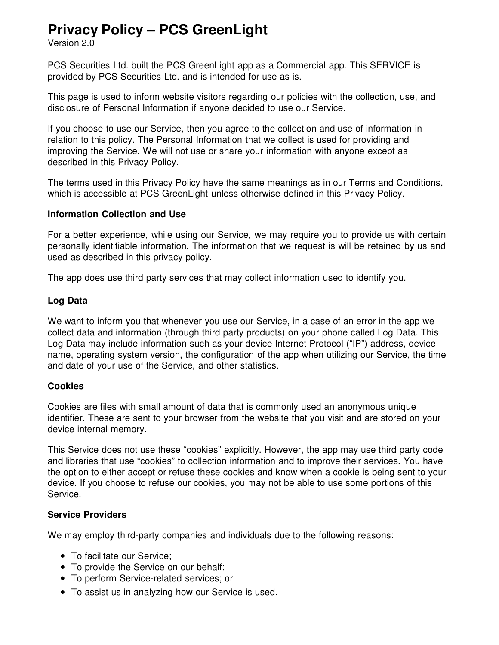# **Privacy Policy – PCS GreenLight**

Version 2.0

PCS Securities Ltd. built the PCS GreenLight app as a Commercial app. This SERVICE is provided by PCS Securities Ltd. and is intended for use as is.

This page is used to inform website visitors regarding our policies with the collection, use, and disclosure of Personal Information if anyone decided to use our Service.

If you choose to use our Service, then you agree to the collection and use of information in relation to this policy. The Personal Information that we collect is used for providing and improving the Service. We will not use or share your information with anyone except as described in this Privacy Policy.

The terms used in this Privacy Policy have the same meanings as in our Terms and Conditions, which is accessible at PCS GreenLight unless otherwise defined in this Privacy Policy.

#### **Information Collection and Use**

For a better experience, while using our Service, we may require you to provide us with certain personally identifiable information. The information that we request is will be retained by us and used as described in this privacy policy.

The app does use third party services that may collect information used to identify you.

#### **Log Data**

We want to inform you that whenever you use our Service, in a case of an error in the app we collect data and information (through third party products) on your phone called Log Data. This Log Data may include information such as your device Internet Protocol ("IP") address, device name, operating system version, the configuration of the app when utilizing our Service, the time and date of your use of the Service, and other statistics.

#### **Cookies**

Cookies are files with small amount of data that is commonly used an anonymous unique identifier. These are sent to your browser from the website that you visit and are stored on your device internal memory.

This Service does not use these "cookies" explicitly. However, the app may use third party code and libraries that use "cookies" to collection information and to improve their services. You have the option to either accept or refuse these cookies and know when a cookie is being sent to your device. If you choose to refuse our cookies, you may not be able to use some portions of this Service.

#### **Service Providers**

We may employ third-party companies and individuals due to the following reasons:

- To facilitate our Service:
- To provide the Service on our behalf;
- To perform Service-related services; or
- To assist us in analyzing how our Service is used.